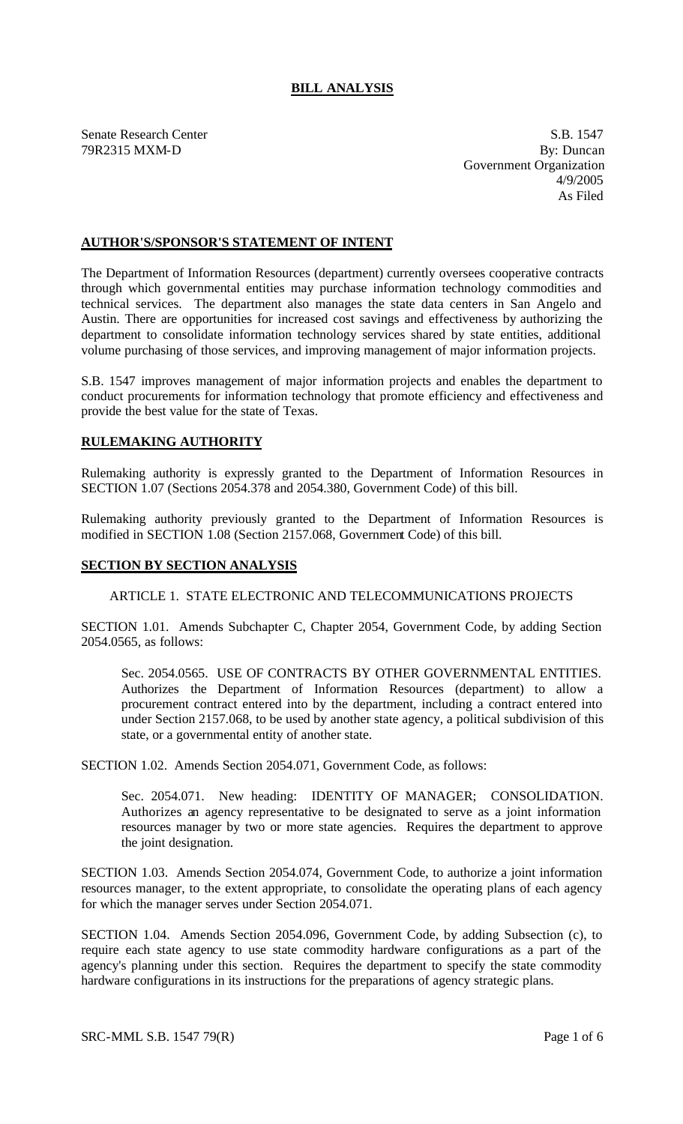# **BILL ANALYSIS**

Senate Research Center S.B. 1547

79R2315 MXM-D By: Duncan Government Organization 4/9/2005 As Filed

## **AUTHOR'S/SPONSOR'S STATEMENT OF INTENT**

The Department of Information Resources (department) currently oversees cooperative contracts through which governmental entities may purchase information technology commodities and technical services. The department also manages the state data centers in San Angelo and Austin. There are opportunities for increased cost savings and effectiveness by authorizing the department to consolidate information technology services shared by state entities, additional volume purchasing of those services, and improving management of major information projects.

S.B. 1547 improves management of major information projects and enables the department to conduct procurements for information technology that promote efficiency and effectiveness and provide the best value for the state of Texas.

### **RULEMAKING AUTHORITY**

Rulemaking authority is expressly granted to the Department of Information Resources in SECTION 1.07 (Sections 2054.378 and 2054.380, Government Code) of this bill.

Rulemaking authority previously granted to the Department of Information Resources is modified in SECTION 1.08 (Section 2157.068, Government Code) of this bill.

#### **SECTION BY SECTION ANALYSIS**

ARTICLE 1. STATE ELECTRONIC AND TELECOMMUNICATIONS PROJECTS

SECTION 1.01. Amends Subchapter C, Chapter 2054, Government Code, by adding Section 2054.0565, as follows:

Sec. 2054.0565. USE OF CONTRACTS BY OTHER GOVERNMENTAL ENTITIES. Authorizes the Department of Information Resources (department) to allow a procurement contract entered into by the department, including a contract entered into under Section 2157.068, to be used by another state agency, a political subdivision of this state, or a governmental entity of another state.

SECTION 1.02. Amends Section 2054.071, Government Code, as follows:

Sec. 2054.071. New heading: IDENTITY OF MANAGER; CONSOLIDATION. Authorizes an agency representative to be designated to serve as a joint information resources manager by two or more state agencies. Requires the department to approve the joint designation.

SECTION 1.03. Amends Section 2054.074, Government Code, to authorize a joint information resources manager, to the extent appropriate, to consolidate the operating plans of each agency for which the manager serves under Section 2054.071.

SECTION 1.04. Amends Section 2054.096, Government Code, by adding Subsection (c), to require each state agency to use state commodity hardware configurations as a part of the agency's planning under this section. Requires the department to specify the state commodity hardware configurations in its instructions for the preparations of agency strategic plans.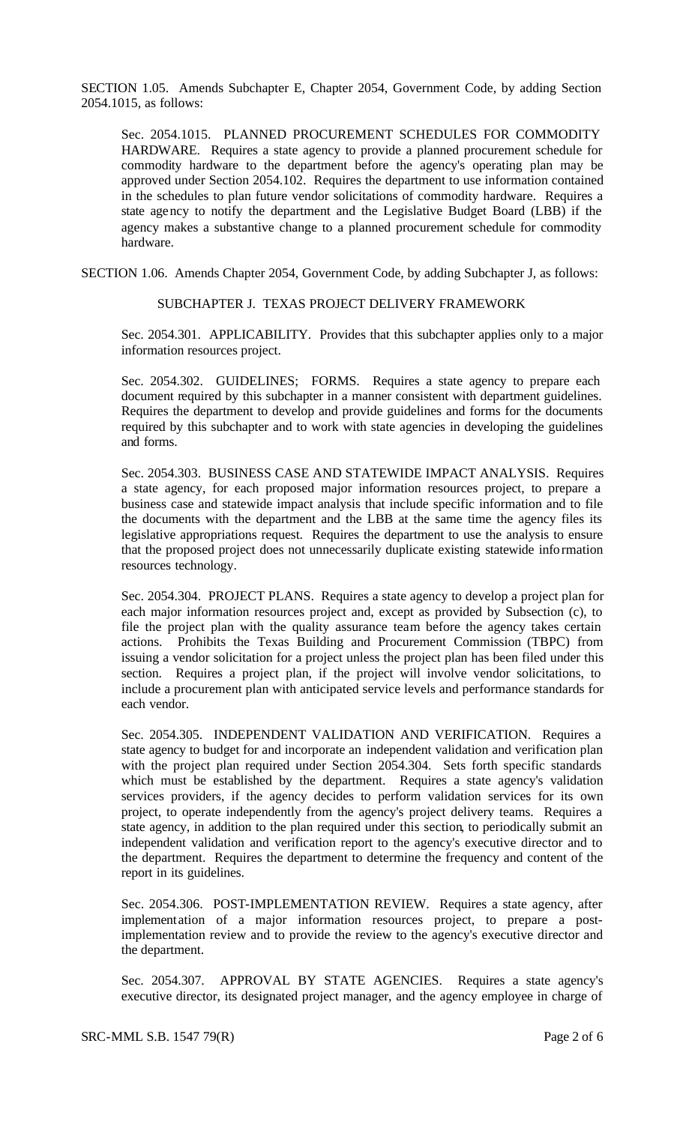SECTION 1.05. Amends Subchapter E, Chapter 2054, Government Code, by adding Section 2054.1015, as follows:

Sec. 2054.1015. PLANNED PROCUREMENT SCHEDULES FOR COMMODITY HARDWARE. Requires a state agency to provide a planned procurement schedule for commodity hardware to the department before the agency's operating plan may be approved under Section 2054.102. Requires the department to use information contained in the schedules to plan future vendor solicitations of commodity hardware. Requires a state agency to notify the department and the Legislative Budget Board (LBB) if the agency makes a substantive change to a planned procurement schedule for commodity hardware.

SECTION 1.06. Amends Chapter 2054, Government Code, by adding Subchapter J, as follows:

#### SUBCHAPTER J. TEXAS PROJECT DELIVERY FRAMEWORK

Sec. 2054.301. APPLICABILITY. Provides that this subchapter applies only to a major information resources project.

Sec. 2054.302. GUIDELINES; FORMS. Requires a state agency to prepare each document required by this subchapter in a manner consistent with department guidelines. Requires the department to develop and provide guidelines and forms for the documents required by this subchapter and to work with state agencies in developing the guidelines and forms.

Sec. 2054.303. BUSINESS CASE AND STATEWIDE IMPACT ANALYSIS. Requires a state agency, for each proposed major information resources project, to prepare a business case and statewide impact analysis that include specific information and to file the documents with the department and the LBB at the same time the agency files its legislative appropriations request. Requires the department to use the analysis to ensure that the proposed project does not unnecessarily duplicate existing statewide information resources technology.

Sec. 2054.304. PROJECT PLANS. Requires a state agency to develop a project plan for each major information resources project and, except as provided by Subsection (c), to file the project plan with the quality assurance team before the agency takes certain actions. Prohibits the Texas Building and Procurement Commission (TBPC) from issuing a vendor solicitation for a project unless the project plan has been filed under this section. Requires a project plan, if the project will involve vendor solicitations, to include a procurement plan with anticipated service levels and performance standards for each vendor.

Sec. 2054.305. INDEPENDENT VALIDATION AND VERIFICATION. Requires a state agency to budget for and incorporate an independent validation and verification plan with the project plan required under Section 2054.304. Sets forth specific standards which must be established by the department. Requires a state agency's validation services providers, if the agency decides to perform validation services for its own project, to operate independently from the agency's project delivery teams. Requires a state agency, in addition to the plan required under this section, to periodically submit an independent validation and verification report to the agency's executive director and to the department. Requires the department to determine the frequency and content of the report in its guidelines.

Sec. 2054.306. POST-IMPLEMENTATION REVIEW. Requires a state agency, after implementation of a major information resources project, to prepare a postimplementation review and to provide the review to the agency's executive director and the department.

Sec. 2054.307. APPROVAL BY STATE AGENCIES. Requires a state agency's executive director, its designated project manager, and the agency employee in charge of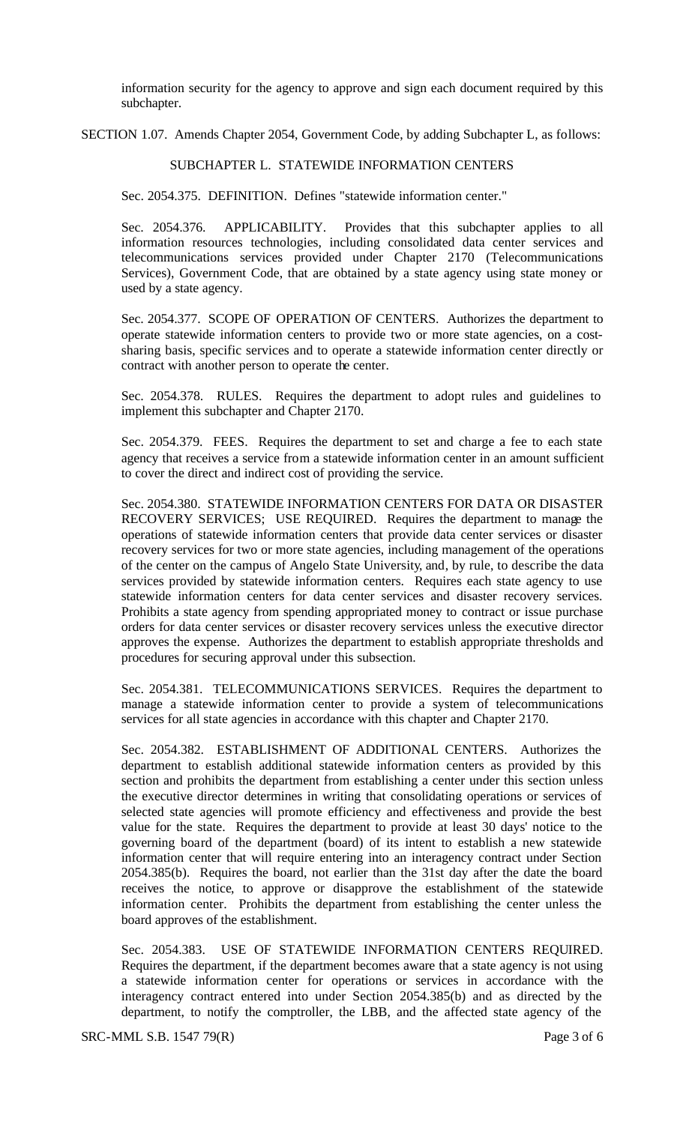information security for the agency to approve and sign each document required by this subchapter.

SECTION 1.07. Amends Chapter 2054, Government Code, by adding Subchapter L, as follows:

## SUBCHAPTER L. STATEWIDE INFORMATION CENTERS

Sec. 2054.375. DEFINITION. Defines "statewide information center."

Sec. 2054.376. APPLICABILITY. Provides that this subchapter applies to all information resources technologies, including consolidated data center services and telecommunications services provided under Chapter 2170 (Telecommunications Services), Government Code, that are obtained by a state agency using state money or used by a state agency.

Sec. 2054.377. SCOPE OF OPERATION OF CENTERS. Authorizes the department to operate statewide information centers to provide two or more state agencies, on a costsharing basis, specific services and to operate a statewide information center directly or contract with another person to operate the center.

Sec. 2054.378. RULES. Requires the department to adopt rules and guidelines to implement this subchapter and Chapter 2170.

Sec. 2054.379. FEES. Requires the department to set and charge a fee to each state agency that receives a service from a statewide information center in an amount sufficient to cover the direct and indirect cost of providing the service.

Sec. 2054.380. STATEWIDE INFORMATION CENTERS FOR DATA OR DISASTER RECOVERY SERVICES; USE REQUIRED. Requires the department to manage the operations of statewide information centers that provide data center services or disaster recovery services for two or more state agencies, including management of the operations of the center on the campus of Angelo State University, and, by rule, to describe the data services provided by statewide information centers. Requires each state agency to use statewide information centers for data center services and disaster recovery services. Prohibits a state agency from spending appropriated money to contract or issue purchase orders for data center services or disaster recovery services unless the executive director approves the expense. Authorizes the department to establish appropriate thresholds and procedures for securing approval under this subsection.

Sec. 2054.381. TELECOMMUNICATIONS SERVICES. Requires the department to manage a statewide information center to provide a system of telecommunications services for all state agencies in accordance with this chapter and Chapter 2170.

Sec. 2054.382. ESTABLISHMENT OF ADDITIONAL CENTERS. Authorizes the department to establish additional statewide information centers as provided by this section and prohibits the department from establishing a center under this section unless the executive director determines in writing that consolidating operations or services of selected state agencies will promote efficiency and effectiveness and provide the best value for the state. Requires the department to provide at least 30 days' notice to the governing board of the department (board) of its intent to establish a new statewide information center that will require entering into an interagency contract under Section 2054.385(b). Requires the board, not earlier than the 31st day after the date the board receives the notice, to approve or disapprove the establishment of the statewide information center. Prohibits the department from establishing the center unless the board approves of the establishment.

Sec. 2054.383. USE OF STATEWIDE INFORMATION CENTERS REQUIRED. Requires the department, if the department becomes aware that a state agency is not using a statewide information center for operations or services in accordance with the interagency contract entered into under Section 2054.385(b) and as directed by the department, to notify the comptroller, the LBB, and the affected state agency of the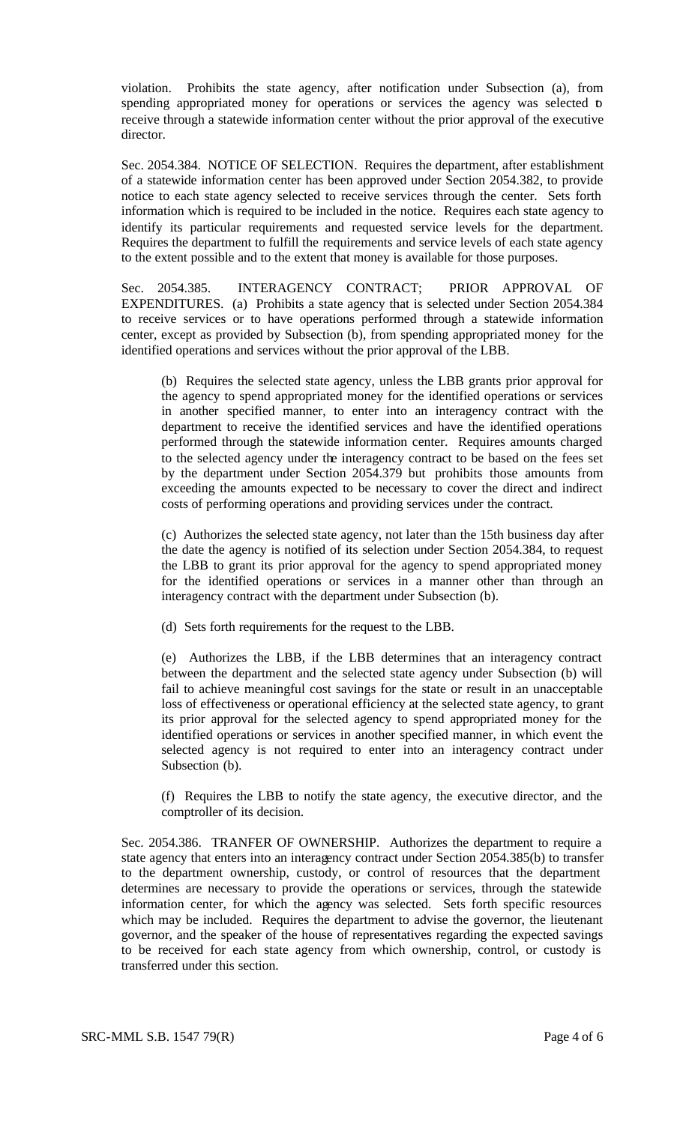violation. Prohibits the state agency, after notification under Subsection (a), from spending appropriated money for operations or services the agency was selected to receive through a statewide information center without the prior approval of the executive director.

Sec. 2054.384. NOTICE OF SELECTION. Requires the department, after establishment of a statewide information center has been approved under Section 2054.382, to provide notice to each state agency selected to receive services through the center. Sets forth information which is required to be included in the notice. Requires each state agency to identify its particular requirements and requested service levels for the department. Requires the department to fulfill the requirements and service levels of each state agency to the extent possible and to the extent that money is available for those purposes.

Sec. 2054.385. INTERAGENCY CONTRACT; PRIOR APPROVAL OF EXPENDITURES. (a) Prohibits a state agency that is selected under Section 2054.384 to receive services or to have operations performed through a statewide information center, except as provided by Subsection (b), from spending appropriated money for the identified operations and services without the prior approval of the LBB.

(b) Requires the selected state agency, unless the LBB grants prior approval for the agency to spend appropriated money for the identified operations or services in another specified manner, to enter into an interagency contract with the department to receive the identified services and have the identified operations performed through the statewide information center. Requires amounts charged to the selected agency under the interagency contract to be based on the fees set by the department under Section 2054.379 but prohibits those amounts from exceeding the amounts expected to be necessary to cover the direct and indirect costs of performing operations and providing services under the contract.

(c) Authorizes the selected state agency, not later than the 15th business day after the date the agency is notified of its selection under Section 2054.384, to request the LBB to grant its prior approval for the agency to spend appropriated money for the identified operations or services in a manner other than through an interagency contract with the department under Subsection (b).

(d) Sets forth requirements for the request to the LBB.

(e) Authorizes the LBB, if the LBB determines that an interagency contract between the department and the selected state agency under Subsection (b) will fail to achieve meaningful cost savings for the state or result in an unacceptable loss of effectiveness or operational efficiency at the selected state agency, to grant its prior approval for the selected agency to spend appropriated money for the identified operations or services in another specified manner, in which event the selected agency is not required to enter into an interagency contract under Subsection (b).

(f) Requires the LBB to notify the state agency, the executive director, and the comptroller of its decision.

Sec. 2054.386. TRANFER OF OWNERSHIP. Authorizes the department to require a state agency that enters into an interagency contract under Section 2054.385(b) to transfer to the department ownership, custody, or control of resources that the department determines are necessary to provide the operations or services, through the statewide information center, for which the agency was selected. Sets forth specific resources which may be included. Requires the department to advise the governor, the lieutenant governor, and the speaker of the house of representatives regarding the expected savings to be received for each state agency from which ownership, control, or custody is transferred under this section.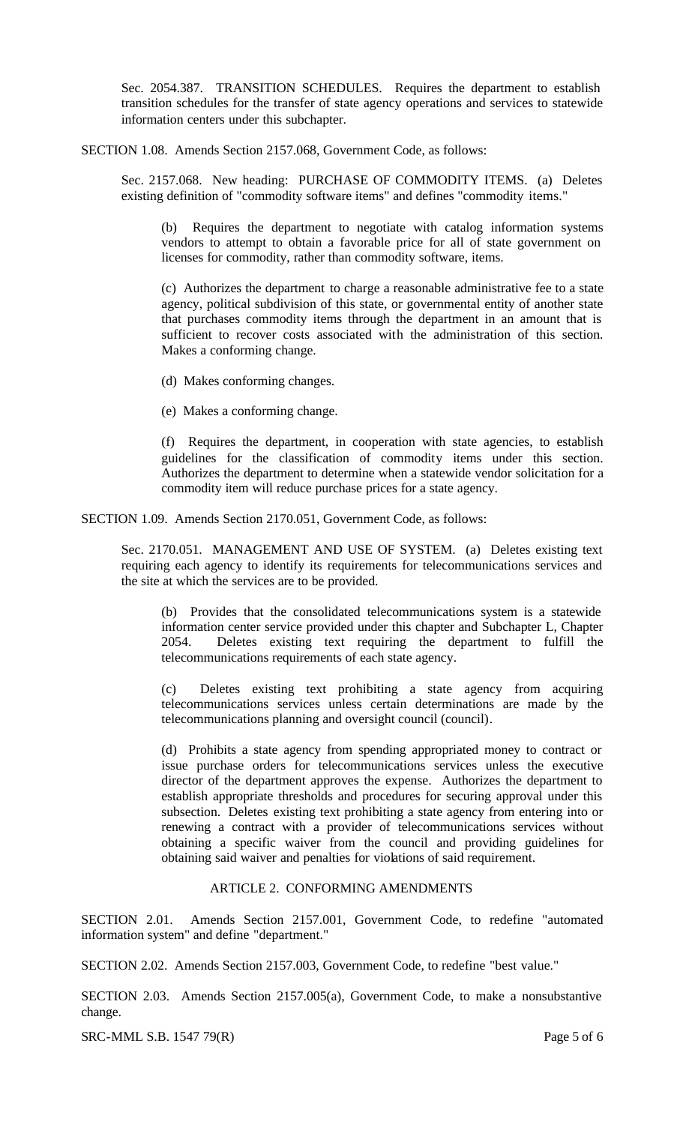Sec. 2054.387. TRANSITION SCHEDULES. Requires the department to establish transition schedules for the transfer of state agency operations and services to statewide information centers under this subchapter.

SECTION 1.08. Amends Section 2157.068, Government Code, as follows:

Sec. 2157.068. New heading: PURCHASE OF COMMODITY ITEMS. (a) Deletes existing definition of "commodity software items" and defines "commodity items."

(b) Requires the department to negotiate with catalog information systems vendors to attempt to obtain a favorable price for all of state government on licenses for commodity, rather than commodity software, items.

(c) Authorizes the department to charge a reasonable administrative fee to a state agency, political subdivision of this state, or governmental entity of another state that purchases commodity items through the department in an amount that is sufficient to recover costs associated with the administration of this section. Makes a conforming change.

(d) Makes conforming changes.

(e) Makes a conforming change.

(f) Requires the department, in cooperation with state agencies, to establish guidelines for the classification of commodity items under this section. Authorizes the department to determine when a statewide vendor solicitation for a commodity item will reduce purchase prices for a state agency.

SECTION 1.09. Amends Section 2170.051, Government Code, as follows:

Sec. 2170.051. MANAGEMENT AND USE OF SYSTEM. (a) Deletes existing text requiring each agency to identify its requirements for telecommunications services and the site at which the services are to be provided.

(b) Provides that the consolidated telecommunications system is a statewide information center service provided under this chapter and Subchapter L, Chapter 2054. Deletes existing text requiring the department to fulfill the 2054. Deletes existing text requiring the department to fulfill the telecommunications requirements of each state agency.

(c) Deletes existing text prohibiting a state agency from acquiring telecommunications services unless certain determinations are made by the telecommunications planning and oversight council (council).

(d) Prohibits a state agency from spending appropriated money to contract or issue purchase orders for telecommunications services unless the executive director of the department approves the expense. Authorizes the department to establish appropriate thresholds and procedures for securing approval under this subsection. Deletes existing text prohibiting a state agency from entering into or renewing a contract with a provider of telecommunications services without obtaining a specific waiver from the council and providing guidelines for obtaining said waiver and penalties for violations of said requirement.

## ARTICLE 2. CONFORMING AMENDMENTS

SECTION 2.01. Amends Section 2157.001, Government Code, to redefine "automated information system" and define "department."

SECTION 2.02. Amends Section 2157.003, Government Code, to redefine "best value."

SECTION 2.03. Amends Section 2157.005(a), Government Code, to make a nonsubstantive change.

SRC-MML S.B. 1547 79(R) Page 5 of 6